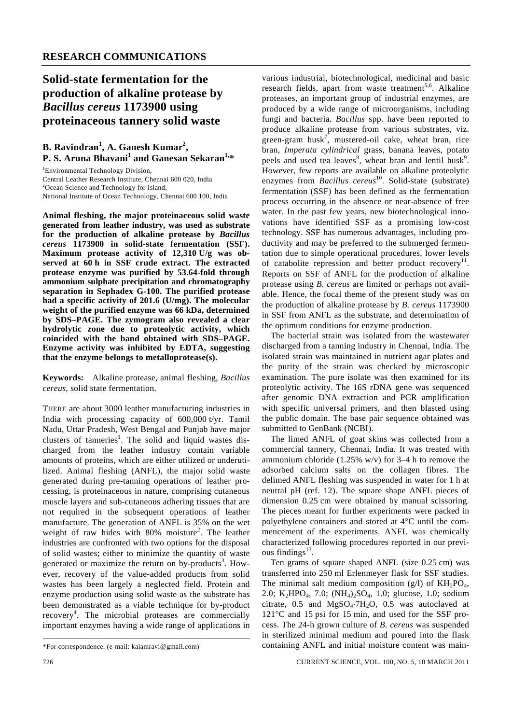## **Solid-state fermentation for the production of alkaline protease by**  *Bacillus cereus* **1173900 using proteinaceous tannery solid waste**

## **B. Ravindran<sup>1</sup> , A. Ganesh Kumar<sup>2</sup> , P. S. Aruna Bhavani<sup>1</sup> and Ganesan Sekaran1,\***

<sup>1</sup>Environmental Technology Division, Central Leather Research Institute, Chennai 600 020, India <sup>2</sup>Ocean Science and Technology for Island, National Institute of Ocean Technology, Chennai 600 100, India

**Animal fleshing, the major proteinaceous solid waste generated from leather industry, was used as substrate for the production of alkaline protease by** *Bacillus cereus* **1173900 in solid-state fermentation (SSF). Maximum protease activity of 12,310 U/g was observed at 60 h in SSF crude extract. The extracted protease enzyme was purified by 53.64-fold through ammonium sulphate precipitation and chromatography separation in Sephadex G-100. The purified protease had a specific activity of 201.6 (U/mg). The molecular weight of the purified enzyme was 66 kDa, determined by SDS–PAGE. The zymogram also revealed a clear hydrolytic zone due to proteolytic activity, which coincided with the band obtained with SDS–PAGE. Enzyme activity was inhibited by EDTA, suggesting that the enzyme belongs to metalloprotease(s).** 

**Keywords:** Alkaline protease, animal fleshing, *Bacillus cereus*, solid state fermentation.

THERE are about 3000 leather manufacturing industries in India with processing capacity of 600,000 t/yr. Tamil Nadu, Uttar Pradesh, West Bengal and Punjab have major clusters of tanneries<sup>1</sup>. The solid and liquid wastes discharged from the leather industry contain variable amounts of proteins, which are either utilized or underutilized. Animal fleshing (ANFL), the major solid waste generated during pre-tanning operations of leather processing, is proteinaceous in nature, comprising cutaneous muscle layers and sub-cutaneous adhering tissues that are not required in the subsequent operations of leather manufacture. The generation of ANFL is 35% on the wet weight of raw hides with 80% moisture<sup>2</sup>. The leather industries are confronted with two options for the disposal of solid wastes; either to minimize the quantity of waste generated or maximize the return on by-products<sup>3</sup>. However, recovery of the value-added products from solid wastes has been largely a neglected field. Protein and enzyme production using solid waste as the substrate has been demonstrated as a viable technique for by-product recovery<sup>4</sup>. The microbial proteases are commercially important enzymes having a wide range of applications in

various industrial, biotechnological, medicinal and basic research fields, apart from waste treatment<sup>5,6</sup>. Alkaline proteases, an important group of industrial enzymes, are produced by a wide range of microorganisms, including fungi and bacteria. *Bacillus* spp. have been reported to produce alkaline protease from various substrates, viz. green-gram  $husk^7$ , mustered-oil cake, wheat bran, rice bran, *Imperata cylindrical* grass, banana leaves, potato peels and used tea leaves<sup>8</sup>, wheat bran and lentil husk<sup>9</sup>. However, few reports are available on alkaline proteolytic enzymes from *Bacillus cereus*<sup>10</sup>. Solid-state (substrate) fermentation (SSF) has been defined as the fermentation process occurring in the absence or near-absence of free water. In the past few years, new biotechnological innovations have identified SSF as a promising low-cost technology. SSF has numerous advantages, including productivity and may be preferred to the submerged fermentation due to simple operational procedures, lower levels of catabolite repression and better product recovery<sup>11</sup>. Reports on SSF of ANFL for the production of alkaline protease using *B. cereus* are limited or perhaps not available. Hence, the focal theme of the present study was on the production of alkaline protease by *B. cereus* 1173900 in SSF from ANFL as the substrate, and determination of the optimum conditions for enzyme production.

 The bacterial strain was isolated from the wastewater discharged from a tanning industry in Chennai, India. The isolated strain was maintained in nutrient agar plates and the purity of the strain was checked by microscopic examination. The pure isolate was then examined for its proteolytic activity. The 16S rDNA gene was sequenced after genomic DNA extraction and PCR amplification with specific universal primers, and then blasted using the public domain. The base pair sequence obtained was submitted to GenBank (NCBI).

 The limed ANFL of goat skins was collected from a commercial tannery, Chennai, India. It was treated with ammonium chloride (1.25% w/v) for 3–4 h to remove the adsorbed calcium salts on the collagen fibres. The delimed ANFL fleshing was suspended in water for 1 h at neutral pH (ref. 12). The square shape ANFL pieces of dimension 0.25 cm were obtained by manual scissoring. The pieces meant for further experiments were packed in polyethylene containers and stored at 4°C until the commencement of the experiments. ANFL was chemically characterized following procedures reported in our previous findings $13$ .

 Ten grams of square shaped ANFL (size 0.25 cm) was transferred into 250 ml Erlenmeyer flask for SSF studies. The minimal salt medium composition (g/l) of  $KH_2PO_4$ , 2.0; K<sub>2</sub>HPO<sub>4</sub>, 7.0;  $(NH_4)$ <sub>2</sub>SO<sub>4</sub>, 1.0; glucose, 1.0; sodium citrate,  $0.5$  and MgSO<sub>4</sub>⋅7H<sub>2</sub>O, 0.5 was autoclaved at 121°C and 15 psi for 15 min, and used for the SSF process. The 24-h grown culture of *B. cereus* was suspended in sterilized minimal medium and poured into the flask containing ANFL and initial moisture content was main-

<sup>\*</sup>For correspondence. (e-mail: kalamravi@gmail.com)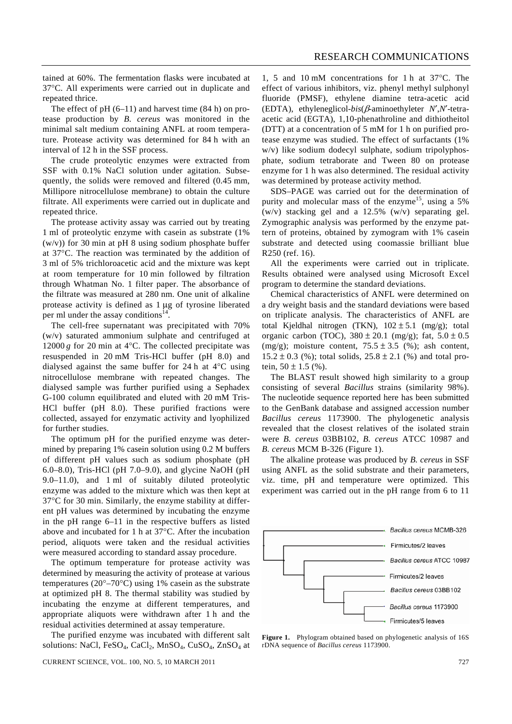tained at 60%. The fermentation flasks were incubated at 37°C. All experiments were carried out in duplicate and repeated thrice.

The effect of  $pH (6–11)$  and harvest time  $(84 h)$  on protease production by *B. cereus* was monitored in the minimal salt medium containing ANFL at room temperature. Protease activity was determined for 84 h with an interval of 12 h in the SSF process.

 The crude proteolytic enzymes were extracted from SSF with 0.1% NaCl solution under agitation. Subsequently, the solids were removed and filtered (0.45 mm, Millipore nitrocellulose membrane) to obtain the culture filtrate. All experiments were carried out in duplicate and repeated thrice.

 The protease activity assay was carried out by treating 1 ml of proteolytic enzyme with casein as substrate (1%  $(w/v)$ ) for 30 min at pH 8 using sodium phosphate buffer at 37°C. The reaction was terminated by the addition of 3 ml of 5% trichloroacetic acid and the mixture was kept at room temperature for 10 min followed by filtration through Whatman No. 1 filter paper. The absorbance of the filtrate was measured at 280 nm. One unit of alkaline protease activity is defined as 1 μg of tyrosine liberated per ml under the assay conditions<sup>14</sup>

 The cell-free supernatant was precipitated with 70% (w/v) saturated ammonium sulphate and centrifuged at 12000  $g$  for 20 min at 4 $\degree$ C. The collected precipitate was resuspended in 20 mM Tris-HCl buffer (pH 8.0) and dialysed against the same buffer for 24 h at 4°C using nitrocellulose membrane with repeated changes. The dialysed sample was further purified using a Sephadex G-100 column equilibrated and eluted with 20 mM Tris-HCl buffer (pH 8.0). These purified fractions were collected, assayed for enzymatic activity and lyophilized for further studies.

 The optimum pH for the purified enzyme was determined by preparing 1% casein solution using 0.2 M buffers of different pH values such as sodium phosphate (pH 6.0–8.0), Tris-HCl (pH 7.0–9.0), and glycine NaOH (pH 9.0–11.0), and 1 ml of suitably diluted proteolytic enzyme was added to the mixture which was then kept at 37°C for 30 min. Similarly, the enzyme stability at different pH values was determined by incubating the enzyme in the pH range 6–11 in the respective buffers as listed above and incubated for 1 h at 37°C. After the incubation period, aliquots were taken and the residual activities were measured according to standard assay procedure.

 The optimum temperature for protease activity was determined by measuring the activity of protease at various temperatures ( $20^{\circ} - 70^{\circ}$ C) using 1% casein as the substrate at optimized pH 8. The thermal stability was studied by incubating the enzyme at different temperatures, and appropriate aliquots were withdrawn after 1 h and the residual activities determined at assay temperature.

 The purified enzyme was incubated with different salt solutions: NaCl, FeSO<sub>4</sub>, CaCl<sub>2</sub>, MnSO<sub>4</sub>, CuSO<sub>4</sub>, ZnSO<sub>4</sub> at

1, 5 and 10 mM concentrations for 1 h at 37°C. The effect of various inhibitors, viz. phenyl methyl sulphonyl fluoride (PMSF), ethylene diamine tetra-acetic acid (EDTA), ethyleneglicol-*bis*(β-aminoethyleter *N*′,*N*′-tetraacetic acid (EGTA), 1,10-phenathroline and dithiotheitol (DTT) at a concentration of 5 mM for 1 h on purified protease enzyme was studied. The effect of surfactants (1% w/v) like sodium dodecyl sulphate, sodium tripolyphosphate, sodium tetraborate and Tween 80 on protease enzyme for 1 h was also determined. The residual activity was determined by protease activity method.

 SDS–PAGE was carried out for the determination of purity and molecular mass of the enzyme<sup>15</sup>, using a 5% (w/v) stacking gel and a 12.5% (w/v) separating gel. Zymographic analysis was performed by the enzyme pattern of proteins, obtained by zymogram with 1% casein substrate and detected using coomassie brilliant blue R250 (ref. 16).

 All the experiments were carried out in triplicate. Results obtained were analysed using Microsoft Excel program to determine the standard deviations.

 Chemical characteristics of ANFL were determined on a dry weight basis and the standard deviations were based on triplicate analysis. The characteristics of ANFL are total Kjeldhal nitrogen (TKN),  $102 \pm 5.1$  (mg/g); total organic carbon (TOC),  $380 \pm 20.1$  (mg/g); fat,  $5.0 \pm 0.5$ (mg/g); moisture content,  $75.5 \pm 3.5$  (%); ash content,  $15.2 \pm 0.3$  (%); total solids,  $25.8 \pm 2.1$  (%) and total protein,  $50 \pm 1.5$  (%).

 The BLAST result showed high similarity to a group consisting of several *Bacillus* strains (similarity 98%). The nucleotide sequence reported here has been submitted to the GenBank database and assigned accession number *Bacillus cereus* 1173900. The phylogenetic analysis revealed that the closest relatives of the isolated strain were *B. cereus* 03BB102, *B. cereus* ATCC 10987 and *B. cereus* MCM B-326 (Figure 1).

 The alkaline protease was produced by *B. cereus* in SSF using ANFL as the solid substrate and their parameters, viz. time, pH and temperature were optimized. This experiment was carried out in the pH range from 6 to 11



**Figure 1.** Phylogram obtained based on phylogenetic analysis of 16S rDNA sequence of *Bacillus cereus* 1173900.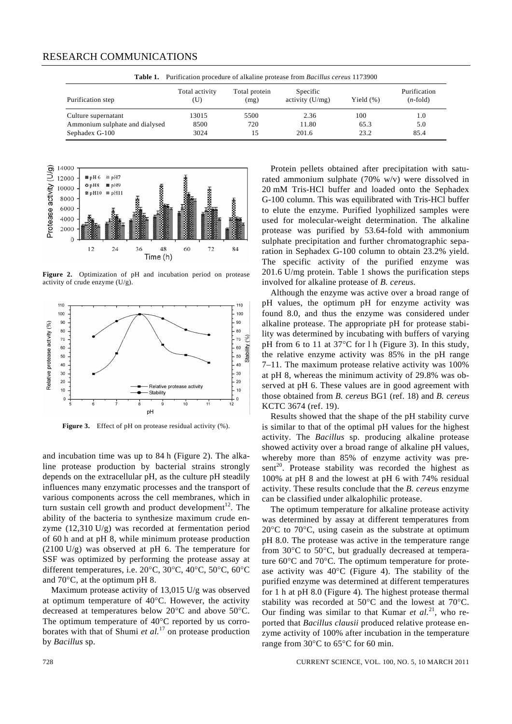| <b>Table 1.</b> Purification procedure of alkaline protease from <i>Bacillus cereus</i> 1173900 |                       |                       |                               |              |                             |
|-------------------------------------------------------------------------------------------------|-----------------------|-----------------------|-------------------------------|--------------|-----------------------------|
| Purification step                                                                               | Total activity<br>(U) | Total protein<br>(mg) | Specific<br>activity $(U/mg)$ | Yield $(\%)$ | Purification<br>$(n$ -fold) |
| Culture supernatant                                                                             | 13015                 | 5500                  | 2.36                          | 100          | 1.0                         |
| Ammonium sulphate and dialysed                                                                  | 8500                  | 720                   | 11.80                         | 65.3         | 5.0                         |
| Sephadex G-100                                                                                  | 3024                  |                       | 201.6                         | 23.2         | 85.4                        |

## RESEARCH COMMUNICATIONS

**®tnH**6 ≋nH7 ⊗ pH8

 $\equiv$  pH10

 $12$ 

 $pH9$ 

 $pH11$ 

24

 $\begin{array}{r} \begin{array}{r} \text{(a)} \\ \text{(b)} \end{array} \end{array} \begin{array}{r} \begin{array}{r} \text{(c)} \\ \text{(d)} \end{array} \end{array} \begin{array}{r} \begin{array}{r} \text{(d)} \\ \text{(e)} \end{array} \end{array} \begin{array}{r} \text{(e)} \\ \text{(f)} \end{array} \begin{array}{r} \text{(g)} \\ \text{(h)} \end{array} \end{array} \begin{array}{r} \text{(h)} \\ \text{(i)} \end{array} \begin{array}{r} \text{(i)} \\ \text{(j)} \end{array} \begin{array}{r} \text{(j)} \\ \text{(k)}$ 

 $\Omega$ 



36

i<br>Sanada

48

Time (h)

60

 $72$ 

84



Figure 3. Effect of pH on protease residual activity (%).

and incubation time was up to 84 h (Figure 2). The alkaline protease production by bacterial strains strongly depends on the extracellular pH, as the culture pH steadily influences many enzymatic processes and the transport of various components across the cell membranes, which in turn sustain cell growth and product development<sup>12</sup>. The ability of the bacteria to synthesize maximum crude enzyme (12,310 U/g) was recorded at fermentation period of 60 h and at pH 8, while minimum protease production (2100 U/g) was observed at pH 6. The temperature for SSF was optimized by performing the protease assay at different temperatures, i.e. 20°C, 30°C, 40°C, 50°C, 60°C and 70°C, at the optimum pH 8.

 Maximum protease activity of 13,015 U/g was observed at optimum temperature of 40°C. However, the activity decreased at temperatures below 20°C and above 50°C. The optimum temperature of 40°C reported by us corroborates with that of Shumi *et al.*17 on protease production by *Bacillus* sp.

 Protein pellets obtained after precipitation with saturated ammonium sulphate (70% w/v) were dissolved in 20 mM Tris-HCl buffer and loaded onto the Sephadex G-100 column. This was equilibrated with Tris-HCl buffer to elute the enzyme. Purified lyophilized samples were used for molecular-weight determination. The alkaline protease was purified by 53.64-fold with ammonium sulphate precipitation and further chromatographic separation in Sephadex G-100 column to obtain 23.2% yield. The specific activity of the purified enzyme was 201.6 U/mg protein. Table 1 shows the purification steps involved for alkaline protease of *B. cereus*.

 Although the enzyme was active over a broad range of pH values, the optimum pH for enzyme activity was found 8.0, and thus the enzyme was considered under alkaline protease. The appropriate pH for protease stability was determined by incubating with buffers of varying pH from 6 to 11 at 37°C for l h (Figure 3). In this study, the relative enzyme activity was 85% in the pH range 7–11. The maximum protease relative activity was 100% at pH 8, whereas the minimum activity of 29.8% was observed at pH 6. These values are in good agreement with those obtained from *B. cereus* BG1 (ref. 18) and *B. cereus*  KCTC 3674 (ref. 19).

 Results showed that the shape of the pH stability curve is similar to that of the optimal pH values for the highest activity. The *Bacillus* sp. producing alkaline protease showed activity over a broad range of alkaline pH values, whereby more than 85% of enzyme activity was pre $sent<sup>20</sup>$ . Protease stability was recorded the highest as 100% at pH 8 and the lowest at pH 6 with 74% residual activity. These results conclude that the *B. cereus* enzyme can be classified under alkalophilic protease.

 The optimum temperature for alkaline protease activity was determined by assay at different temperatures from 20°C to 70°C, using casein as the substrate at optimum pH 8.0. The protease was active in the temperature range from 30°C to 50°C, but gradually decreased at temperature 60°C and 70°C. The optimum temperature for protease activity was  $40^{\circ}$ C (Figure 4). The stability of the purified enzyme was determined at different temperatures for 1 h at pH 8.0 (Figure 4). The highest protease thermal stability was recorded at 50°C and the lowest at 70°C. Our finding was similar to that Kumar et al.<sup>21</sup>, who reported that *Bacillus clausii* produced relative protease enzyme activity of 100% after incubation in the temperature range from 30°C to 65°C for 60 min.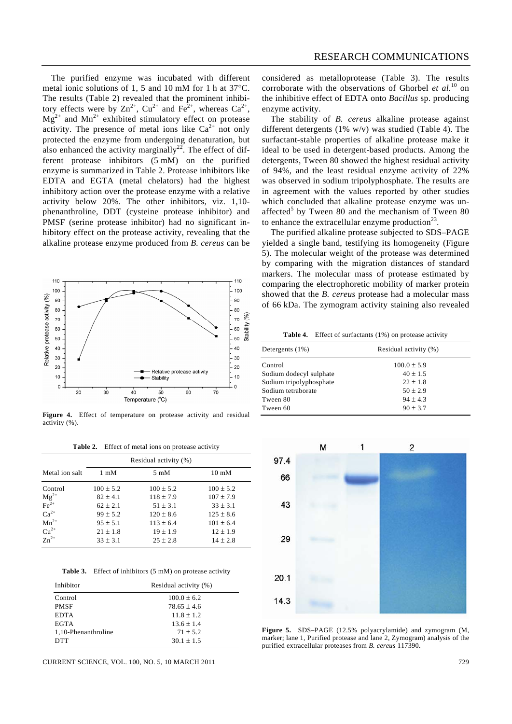RESEARCH COMMUNICATIONS

 The purified enzyme was incubated with different metal ionic solutions of 1, 5 and 10 mM for 1 h at 37°C. The results (Table 2) revealed that the prominent inhibitory effects were by  $\text{Zn}^{2+}$ ,  $\text{Cu}^{2+}$  and  $\text{Fe}^{2+}$ , whereas  $\text{Ca}^{2+}$ ,  $Mg^{2+}$  and  $Mn^{2+}$  exhibited stimulatory effect on protease activity. The presence of metal ions like  $Ca^{2+}$  not only protected the enzyme from undergoing denaturation, but also enhanced the activity marginally<sup>22</sup>. The effect of different protease inhibitors (5 mM) on the purified enzyme is summarized in Table 2. Protease inhibitors like EDTA and EGTA (metal chelators) had the highest inhibitory action over the protease enzyme with a relative activity below 20%. The other inhibitors, viz. 1,10 phenanthroline, DDT (cysteine protease inhibitor) and PMSF (serine protease inhibitor) had no significant inhibitory effect on the protease activity, revealing that the alkaline protease enzyme produced from *B. cereus* can be



Figure 4. Effect of temperature on protease activity and residual activity (%).

**Table 2.** Effect of metal ions on protease activity

|                                         | Residual activity (%) |                |                 |
|-----------------------------------------|-----------------------|----------------|-----------------|
| Metal ion salt                          | $1 \text{ mM}$        | $5 \text{ mM}$ | $10 \text{ mM}$ |
| Control                                 | $100 \pm 5.2$         | $100 \pm 5.2$  | $100 \pm 5.2$   |
| $\frac{\text{Mg}^{2+}}{\text{Fe}^{2+}}$ | $82 \pm 4.1$          | $118 \pm 7.9$  | $107 \pm 7.9$   |
|                                         | $62 \pm 2.1$          | $51 \pm 3.1$   | $33 \pm 3.1$    |
| $Ca^{2+}$                               | $99 \pm 5.2$          | $120 \pm 8.6$  | $125 \pm 8.6$   |
| $Mn^{2+}$                               | $95 \pm 5.1$          | $113 \pm 6.4$  | $101 \pm 6.4$   |
| $Cu2+$                                  | $21 \pm 1.8$          | $19 \pm 1.9$   | $12 \pm 1.9$    |
| $Zn^{2+}$                               | $33 \pm 3.1$          | $25 \pm 2.8$   | $14 \pm 2.8$    |

**Table 3.** Effect of inhibitors (5 mM) on protease activity

| Inhibitor           | Residual activity (%) |
|---------------------|-----------------------|
| Control             | $100.0 + 6.2$         |
| <b>PMSF</b>         | $78.65 + 4.6$         |
| <b>EDTA</b>         | $11.8 + 1.2$          |
| <b>EGTA</b>         | $13.6 + 1.4$          |
| 1.10-Phenanthroline | $71 + 5.2$            |
| <b>DTT</b>          | $30.1 \pm 1.5$        |

CURRENT SCIENCE, VOL. 100, NO. 5, 10 MARCH 2011 729

considered as metalloprotease (Table 3). The results corroborate with the observations of Ghorbel *et al.*10 on the inhibitive effect of EDTA onto *Bacillus* sp. producing enzyme activity.

 The stability of *B. cereus* alkaline protease against different detergents (1% w/v) was studied (Table 4). The surfactant-stable properties of alkaline protease make it ideal to be used in detergent-based products. Among the detergents, Tween 80 showed the highest residual activity of 94%, and the least residual enzyme activity of 22% was observed in sodium tripolyphosphate. The results are in agreement with the values reported by other studies which concluded that alkaline protease enzyme was unaffected<sup>5</sup> by Tween 80 and the mechanism of Tween 80 to enhance the extracellular enzyme production $^{23}$ .

 The purified alkaline protease subjected to SDS–PAGE yielded a single band, testifying its homogeneity (Figure 5). The molecular weight of the protease was determined by comparing with the migration distances of standard markers. The molecular mass of protease estimated by comparing the electrophoretic mobility of marker protein showed that the *B. cereus* protease had a molecular mass of 66 kDa. The zymogram activity staining also revealed

**Table 4.** Effect of surfactants (1%) on protease activity

| Detergents $(1%)$       | Residual activity (%) |
|-------------------------|-----------------------|
| Control                 | $100.0 \pm 5.9$       |
| Sodium dodecyl sulphate | $40 + 1.5$            |
| Sodium tripolyphosphate | $22 + 1.8$            |
| Sodium tetraborate      | $50 + 2.9$            |
| Tween 80                | $94 + 4.3$            |
| Tween 60                | $90 + 3.7$            |



**Figure 5.** SDS–PAGE (12.5% polyacrylamide) and zymogram (M, marker; lane 1, Purified protease and lane 2, Zymogram) analysis of the purified extracellular proteases from *B. cereus* 117390.